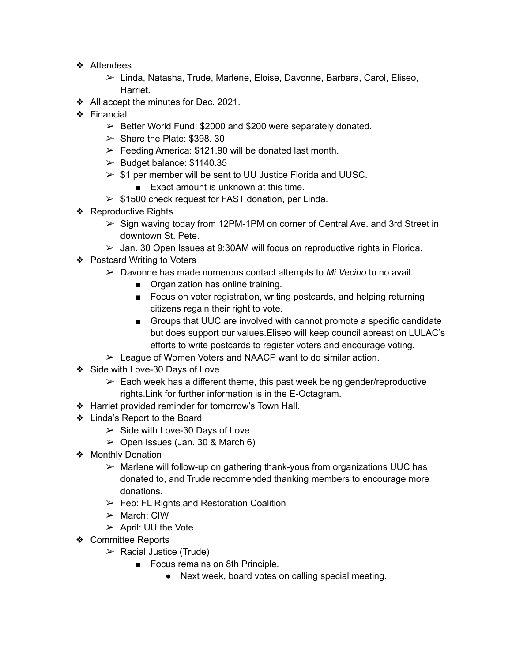- ❖ Attendees
	- ➢ Linda, Natasha, Trude, Marlene, Eloise, Davonne, Barbara, Carol, Eliseo, Harriet.
- ❖ All accept the minutes for Dec. 2021.
- ❖ Financial
	- $\geq$  Better World Fund: \$2000 and \$200 were separately donated.
	- $\geq$  Share the Plate: \$398. 30
	- $\triangleright$  Feeding America: \$121.90 will be donated last month.
	- $\blacktriangleright$  Budget balance: \$1140.35
	- $>$  \$1 per member will be sent to UU Justice Florida and UUSC.
		- Exact amount is unknown at this time.
	- $> $1500$  check request for FAST donation, per Linda.
- ❖ Reproductive Rights
	- $\triangleright$  Sign waving today from 12PM-1PM on corner of Central Ave. and 3rd Street in downtown St. Pete.
	- $\triangleright$  Jan. 30 Open Issues at 9:30AM will focus on reproductive rights in Florida.
- ❖ Postcard Writing to Voters
	- ➢ Davonne has made numerous contact attempts to *Mi Vecino* to no avail.
		- Organization has online training.
		- Focus on voter registration, writing postcards, and helping returning citizens regain their right to vote.
		- Groups that UUC are involved with cannot promote a specific candidate but does support our values.Eliseo will keep council abreast on LULAC's efforts to write postcards to register voters and encourage voting.
	- ➢ League of Women Voters and NAACP want to do similar action.
- ❖ Side with Love-30 Days of Love
	- $\triangleright$  Each week has a different theme, this past week being gender/reproductive rights.Link for further information is in the E-Octagram.
- ❖ Harriet provided reminder for tomorrow's Town Hall.
- ❖ Linda's Report to the Board
	- $\geq$  Side with Love-30 Days of Love
	- $\geq$  Open Issues (Jan. 30 & March 6)
- ❖ Monthly Donation
	- $\triangleright$  Marlene will follow-up on gathering thank-yous from organizations UUC has donated to, and Trude recommended thanking members to encourage more donations.
	- $\geq$  Feb: FL Rights and Restoration Coalition
	- $\triangleright$  March: CIW
	- $\triangleright$  April: UU the Vote
- ❖ Committee Reports
	- $\triangleright$  Racial Justice (Trude)
		- Focus remains on 8th Principle.
			- Next week, board votes on calling special meeting.